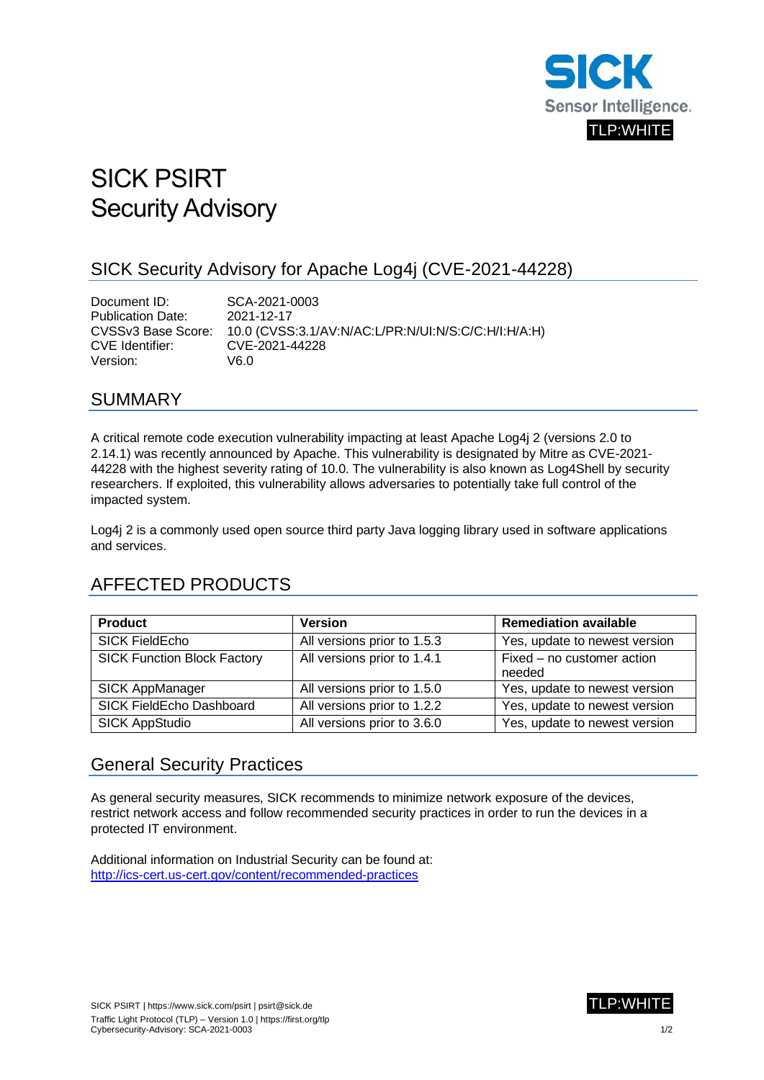

# SICK PSIRT Security Advisory

#### SICK Security Advisory for Apache Log4j (CVE-2021-44228)

Document ID: SCA-2021-0003 Publication Date: 2021-12-17 CVSSv3 Base Score: 10.0 (CVSS:3.1/AV:N/AC:L/PR:N/UI:N/S:C/C:H/I:H/A:H) CVE Identifier: CVE-2021-44228 Version: V6.0

#### SUMMARY

A critical remote code execution vulnerability impacting at least Apache Log4j 2 (versions 2.0 to 2.14.1) was recently announced by Apache. This vulnerability is designated by Mitre as CVE-2021- 44228 with the highest severity rating of 10.0. The vulnerability is also known as Log4Shell by security researchers. If exploited, this vulnerability allows adversaries to potentially take full control of the impacted system.

Log4j 2 is a commonly used open source third party Java logging library used in software applications and services.

## AFFECTED PRODUCTS

| <b>Product</b>                     | <b>Version</b>                | <b>Remediation available</b>  |
|------------------------------------|-------------------------------|-------------------------------|
| <b>SICK FieldEcho</b>              | All versions prior to 1.5.3   | Yes, update to newest version |
| <b>SICK Function Block Factory</b> | All versions prior to 1.4.1   | Fixed - no customer action    |
|                                    |                               | needed                        |
| SICK AppManager                    | All versions prior to 1.5.0   | Yes, update to newest version |
| SICK FieldEcho Dashboard           | All versions prior to $1.2.2$ | Yes, update to newest version |
| <b>SICK AppStudio</b>              | All versions prior to 3.6.0   | Yes, update to newest version |

#### General Security Practices

As general security measures, SICK recommends to minimize network exposure of the devices, restrict network access and follow recommended security practices in order to run the devices in a protected IT environment.

Additional information on Industrial Security can be found at: <http://ics-cert.us-cert.gov/content/recommended-practices>